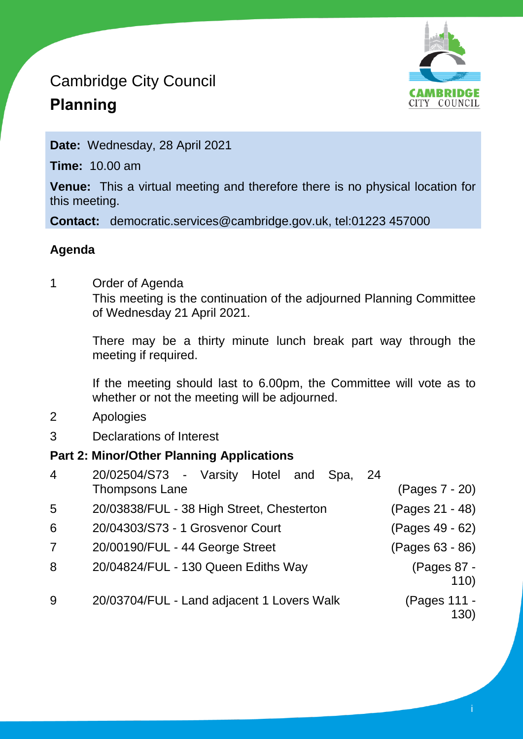# Cambridge City Council **Planning**



**Date:** Wednesday, 28 April 2021

**Time:** 10.00 am

**Venue:** This a virtual meeting and therefore there is no physical location for this meeting.

**Contact:** democratic.services@cambridge.gov.uk, tel:01223 457000

### **Agenda**

1 Order of Agenda

This meeting is the continuation of the adjourned Planning Committee of Wednesday 21 April 2021.

There may be a thirty minute lunch break part way through the meeting if required.

If the meeting should last to 6.00pm, the Committee will vote as to whether or not the meeting will be adjourned.

- 2 Apologies
- 3 Declarations of Interest

### **Part 2: Minor/Other Planning Applications**

| $\overline{4}$ | 20/02504/S73 - Varsity Hotel and Spa,<br><b>Thompsons Lane</b> | -24<br>(Pages 7 - 20) |
|----------------|----------------------------------------------------------------|-----------------------|
| 5              | 20/03838/FUL - 38 High Street, Chesterton                      | (Pages 21 - 48)       |
| 6              | 20/04303/S73 - 1 Grosvenor Court                               | (Pages 49 - 62)       |
| $\overline{7}$ | 20/00190/FUL - 44 George Street                                | (Pages 63 - 86)       |
| 8              | 20/04824/FUL - 130 Queen Ediths Way                            | (Pages 87 -<br>110)   |
| 9              | 20/03704/FUL - Land adjacent 1 Lovers Walk                     | (Pages 111 -<br>130)  |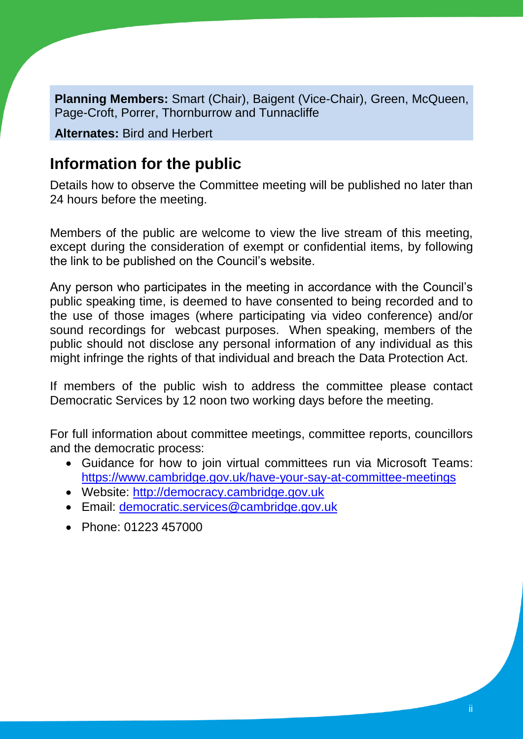**Planning Members:** Smart (Chair), Baigent (Vice-Chair), Green, McQueen, Page-Croft, Porrer, Thornburrow and Tunnacliffe

**Alternates:** Bird and Herbert

## **Information for the public**

Details how to observe the Committee meeting will be published no later than 24 hours before the meeting.

Members of the public are welcome to view the live stream of this meeting, except during the consideration of exempt or confidential items, by following the link to be published on the Council's website.

Any person who participates in the meeting in accordance with the Council's public speaking time, is deemed to have consented to being recorded and to the use of those images (where participating via video conference) and/or sound recordings for webcast purposes. When speaking, members of the public should not disclose any personal information of any individual as this might infringe the rights of that individual and breach the Data Protection Act.

If members of the public wish to address the committee please contact Democratic Services by 12 noon two working days before the meeting.

For full information about committee meetings, committee reports, councillors and the democratic process:

- Guidance for how to join virtual committees run via Microsoft Teams: <https://www.cambridge.gov.uk/have-your-say-at-committee-meetings>
- Website: [http://democracy.cambridge.gov.uk](http://democracy.cambridge.gov.uk/)
- Email: [democratic.services@cambridge.gov.uk](mailto:democratic.services@cambridge.gov.uk)
- Phone: 01223 457000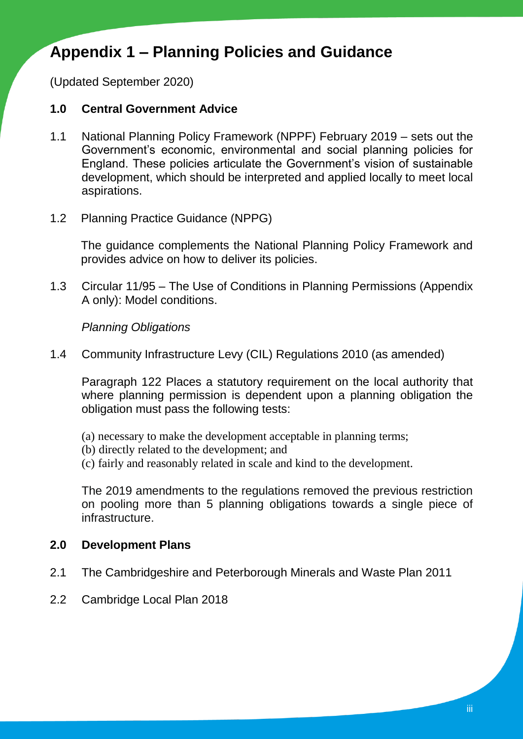## **Appendix 1 – Planning Policies and Guidance**

(Updated September 2020)

#### **1.0 Central Government Advice**

- 1.1 National Planning Policy Framework (NPPF) February 2019 sets out the Government's economic, environmental and social planning policies for England. These policies articulate the Government's vision of sustainable development, which should be interpreted and applied locally to meet local aspirations.
- 1.2 Planning Practice Guidance (NPPG)

The guidance complements the National Planning Policy Framework and provides advice on how to deliver its policies.

1.3 Circular 11/95 – The Use of Conditions in Planning Permissions (Appendix A only): Model conditions.

#### *Planning Obligations*

1.4 Community Infrastructure Levy (CIL) Regulations 2010 (as amended)

Paragraph 122 Places a statutory requirement on the local authority that where planning permission is dependent upon a planning obligation the obligation must pass the following tests:

- (a) necessary to make the development acceptable in planning terms;
- (b) directly related to the development; and
- (c) fairly and reasonably related in scale and kind to the development.

The 2019 amendments to the regulations removed the previous restriction on pooling more than 5 planning obligations towards a single piece of infrastructure.

### **2.0 Development Plans**

- 2.1 The Cambridgeshire and Peterborough Minerals and Waste Plan 2011
- 2.2 Cambridge Local Plan 2018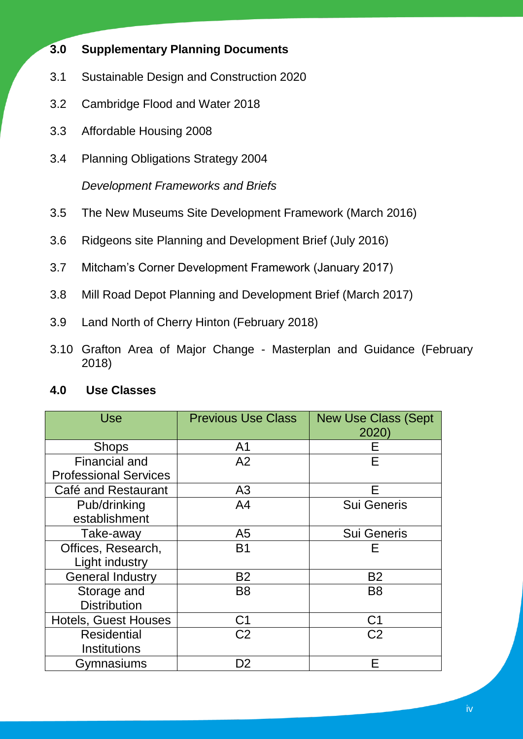- **3.0 Supplementary Planning Documents**
- 3.1 Sustainable Design and Construction 2020
- 3.2 Cambridge Flood and Water 2018
- 3.3 Affordable Housing 2008
- 3.4 Planning Obligations Strategy 2004

*Development Frameworks and Briefs*

- 3.5 The New Museums Site Development Framework (March 2016)
- 3.6 Ridgeons site Planning and Development Brief (July 2016)
- 3.7 Mitcham's Corner Development Framework (January 2017)
- 3.8 Mill Road Depot Planning and Development Brief (March 2017)
- 3.9 Land North of Cherry Hinton (February 2018)
- 3.10 Grafton Area of Major Change Masterplan and Guidance (February 2018)

### **4.0 Use Classes**

| <b>Use</b>                   | <b>Previous Use Class</b> | <b>New Use Class (Sept</b><br>2020) |
|------------------------------|---------------------------|-------------------------------------|
| <b>Shops</b>                 | A <sub>1</sub>            | Е                                   |
| <b>Financial and</b>         | A2                        | Е                                   |
| <b>Professional Services</b> |                           |                                     |
| Café and Restaurant          | A3                        | Е                                   |
| Pub/drinking                 | A <sub>4</sub>            | <b>Sui Generis</b>                  |
| establishment                |                           |                                     |
| Take-away                    | A <sub>5</sub>            | <b>Sui Generis</b>                  |
| Offices, Research,           | <b>B1</b>                 | F                                   |
| Light industry               |                           |                                     |
| <b>General Industry</b>      | <b>B2</b>                 | <b>B2</b>                           |
| Storage and                  | B <sub>8</sub>            | B <sub>8</sub>                      |
| <b>Distribution</b>          |                           |                                     |
| <b>Hotels, Guest Houses</b>  | C <sub>1</sub>            | C <sub>1</sub>                      |
| <b>Residential</b>           | C <sub>2</sub>            | C <sub>2</sub>                      |
| <b>Institutions</b>          |                           |                                     |
| Gymnasiums                   | D2                        | F                                   |